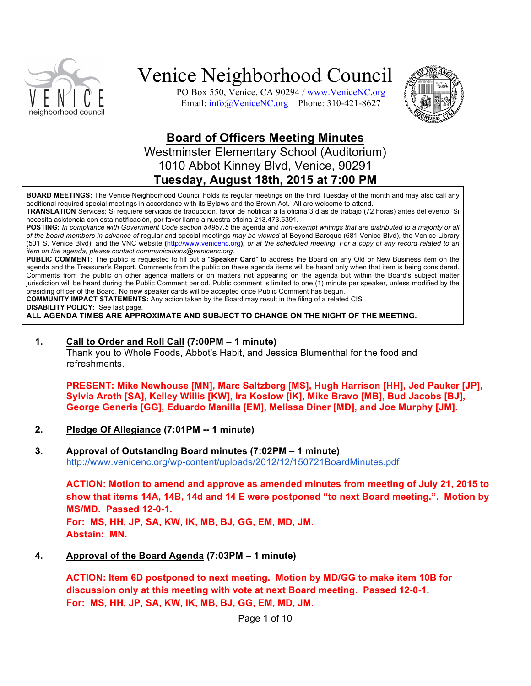

PO Box 550, Venice, CA 90294 / www.VeniceNC.org Email: info@VeniceNC.org Phone: 310-421-8627



### **Board of Officers Meeting Minutes**

Westminster Elementary School (Auditorium) 1010 Abbot Kinney Blvd, Venice, 90291 **Tuesday, August 18th, 2015 at 7:00 PM**

**BOARD MEETINGS:** The Venice Neighborhood Council holds its regular meetings on the third Tuesday of the month and may also call any additional required special meetings in accordance with its Bylaws and the Brown Act. All are welcome to attend.

**TRANSLATION** Services: Si requiere servicios de traducción, favor de notificar a la oficina 3 días de trabajo (72 horas) antes del evento. Si necesita asistencia con esta notificación, por favor llame a nuestra oficina 213.473.5391.

**POSTING:** *In compliance with Government Code section 54957.5* the agenda and *non-exempt writings that are distributed to a majority or all of the board members in advance of* regular and special meetings *may be viewed* at Beyond Baroque (681 Venice Blvd), the Venice Library (501 S. Venice Blvd), and the VNC website **(**http://www.venicenc.org**),** *or at the scheduled meeting. For a copy of any record related to an item on the agenda, please contact communications@venicenc.org.*

**PUBLIC COMMENT**: The public is requested to fill out a "**Speaker Card**" to address the Board on any Old or New Business item on the agenda and the Treasurer's Report. Comments from the public on these agenda items will be heard only when that item is being considered. Comments from the public on other agenda matters or on matters not appearing on the agenda but within the Board's subject matter jurisdiction will be heard during the Public Comment period. Public comment is limited to one (1) minute per speaker, unless modified by the presiding officer of the Board. No new speaker cards will be accepted once Public Comment has begun.

**COMMUNITY IMPACT STATEMENTS:** Any action taken by the Board may result in the filing of a related CIS

**DISABILITY POLICY:** See last page.

**ALL AGENDA TIMES ARE APPROXIMATE AND SUBJECT TO CHANGE ON THE NIGHT OF THE MEETING.**

**1. Call to Order and Roll Call (7:00PM – 1 minute)**

Thank you to Whole Foods, Abbot's Habit, and Jessica Blumenthal for the food and refreshments.

**PRESENT: Mike Newhouse [MN], Marc Saltzberg [MS], Hugh Harrison [HH], Jed Pauker [JP], Sylvia Aroth [SA], Kelley Willis [KW], Ira Koslow [IK], Mike Bravo [MB], Bud Jacobs [BJ], George Generis [GG], Eduardo Manilla [EM], Melissa Diner [MD], and Joe Murphy [JM].**

- **2. Pledge Of Allegiance (7:01PM -- 1 minute)**
- **3. Approval of Outstanding Board minutes (7:02PM – 1 minute)** http://www.venicenc.org/wp-content/uploads/2012/12/150721BoardMinutes.pdf

**ACTION: Motion to amend and approve as amended minutes from meeting of July 21, 2015 to show that items 14A, 14B, 14d and 14 E were postponed "to next Board meeting.". Motion by MS/MD. Passed 12-0-1. For: MS, HH, JP, SA, KW, IK, MB, BJ, GG, EM, MD, JM. Abstain: MN.**

**4. Approval of the Board Agenda (7:03PM – 1 minute)**

**ACTION: Item 6D postponed to next meeting. Motion by MD/GG to make item 10B for discussion only at this meeting with vote at next Board meeting. Passed 12-0-1. For: MS, HH, JP, SA, KW, IK, MB, BJ, GG, EM, MD, JM.** 

Page 1 of 10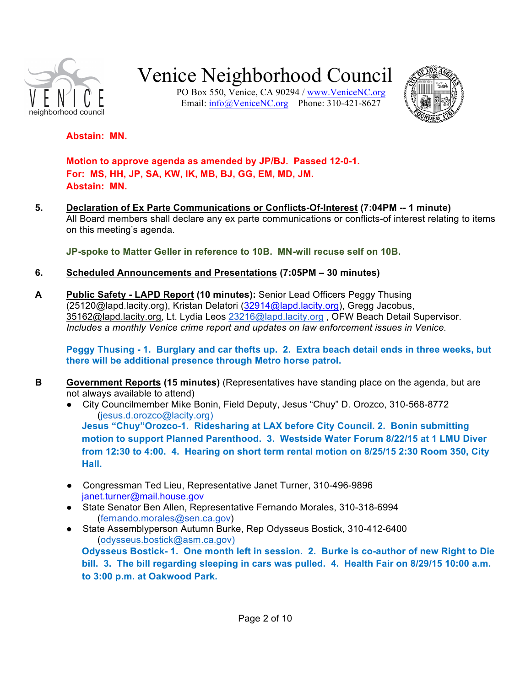

PO Box 550, Venice, CA 90294 / www.VeniceNC.org Email: info@VeniceNC.org Phone: 310-421-8627



#### **Abstain: MN.**

**Motion to approve agenda as amended by JP/BJ. Passed 12-0-1. For: MS, HH, JP, SA, KW, IK, MB, BJ, GG, EM, MD, JM. Abstain: MN.**

**5. Declaration of Ex Parte Communications or Conflicts-Of-Interest (7:04PM -- 1 minute)**  All Board members shall declare any ex parte communications or conflicts-of interest relating to items on this meeting's agenda.

**JP-spoke to Matter Geller in reference to 10B. MN-will recuse self on 10B.**

- **6. Scheduled Announcements and Presentations (7:05PM – 30 minutes)**
- **A Public Safety - LAPD Report (10 minutes):** Senior Lead Officers Peggy Thusing (25120@lapd.lacity.org), Kristan Delatori (32914@lapd.lacity.org), Gregg Jacobus, 35162@lapd.lacity.org, Lt. Lydia Leos 23216@lapd.lacity.org, OFW Beach Detail Supervisor. *Includes a monthly Venice crime report and updates on law enforcement issues in Venice.*

**Peggy Thusing - 1. Burglary and car thefts up. 2. Extra beach detail ends in three weeks, but there will be additional presence through Metro horse patrol.**

- **B Government Reports (15 minutes)** (Representatives have standing place on the agenda, but are not always available to attend)
	- City Councilmember Mike Bonin, Field Deputy, Jesus "Chuy" D. Orozco, 310-568-8772 (jesus.d.orozco@lacity.org) **Jesus "Chuy"Orozco-1. Ridesharing at LAX before City Council. 2. Bonin submitting motion to support Planned Parenthood. 3. Westside Water Forum 8/22/15 at 1 LMU Diver from 12:30 to 4:00. 4. Hearing on short term rental motion on 8/25/15 2:30 Room 350, City Hall.**
	- Congressman Ted Lieu, Representative Janet Turner, 310-496-9896 janet.turner@mail.house.gov
	- State Senator Ben Allen, Representative Fernando Morales, 310-318-6994 (fernando.morales@sen.ca.gov)
	- State Assemblyperson Autumn Burke, Rep Odysseus Bostick, 310-412-6400 (odysseus.bostick@asm.ca.gov) **Odysseus Bostick- 1. One month left in session. 2. Burke is co-author of new Right to Die bill. 3. The bill regarding sleeping in cars was pulled. 4. Health Fair on 8/29/15 10:00 a.m. to 3:00 p.m. at Oakwood Park.**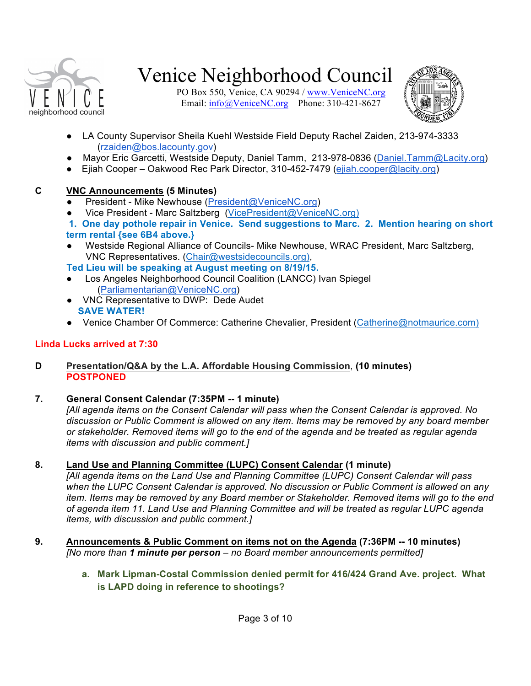

PO Box 550, Venice, CA 90294 / www.VeniceNC.org Email: info@VeniceNC.org Phone: 310-421-8627



- LA County Supervisor Sheila Kuehl Westside Field Deputy Rachel Zaiden, 213-974-3333 (rzaiden@bos.lacounty.gov)
- Mayor Eric Garcetti, Westside Deputy, Daniel Tamm, 213-978-0836 (Daniel.Tamm@Lacity.org)
- Ejiah Cooper Oakwood Rec Park Director, 310-452-7479 (ejiah.cooper@lacity.org)

### **C VNC Announcements (5 Minutes)**

- President Mike Newhouse (President@VeniceNC.org)
- Vice President Marc Saltzberg (VicePresident@VeniceNC.org)
- **1. One day pothole repair in Venice. Send suggestions to Marc. 2. Mention hearing on short term rental {see 6B4 above.}**
- Westside Regional Alliance of Councils- Mike Newhouse, WRAC President, Marc Saltzberg, VNC Representatives. (Chair@westsidecouncils.org),

**Ted Lieu will be speaking at August meeting on 8/19/15.**

- Los Angeles Neighborhood Council Coalition (LANCC) Ivan Spiegel (Parliamentarian@VeniceNC.org)
- VNC Representative to DWP: Dede Audet **SAVE WATER!**
- Venice Chamber Of Commerce: Catherine Chevalier, President (Catherine@notmaurice.com)

### **Linda Lucks arrived at 7:30**

### **D Presentation/Q&A by the L.A. Affordable Housing Commission**, **(10 minutes) POSTPONED**

### **7. General Consent Calendar (7:35PM -- 1 minute)**

*[All agenda items on the Consent Calendar will pass when the Consent Calendar is approved. No discussion or Public Comment is allowed on any item. Items may be removed by any board member or stakeholder. Removed items will go to the end of the agenda and be treated as regular agenda items with discussion and public comment.]*

### **8. Land Use and Planning Committee (LUPC) Consent Calendar (1 minute)**

*[All agenda items on the Land Use and Planning Committee (LUPC) Consent Calendar will pass when the LUPC Consent Calendar is approved. No discussion or Public Comment is allowed on any item. Items may be removed by any Board member or Stakeholder. Removed items will go to the end of agenda item 11. Land Use and Planning Committee and will be treated as regular LUPC agenda items, with discussion and public comment.]*

- **9. Announcements & Public Comment on items not on the Agenda (7:36PM -- 10 minutes)** *[No more than 1 minute per person – no Board member announcements permitted]*
	- **a. Mark Lipman-Costal Commission denied permit for 416/424 Grand Ave. project. What is LAPD doing in reference to shootings?**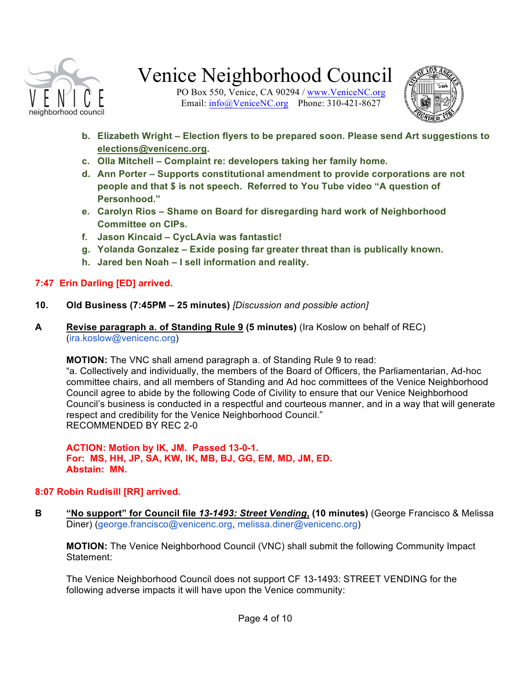

PO Box 550, Venice, CA 90294 / www.VeniceNC.org Email: info@VeniceNC.org Phone: 310-421-8627



- **b. Elizabeth Wright – Election flyers to be prepared soon. Please send Art suggestions to elections@venicenc.org.**
- **c. Olla Mitchell – Complaint re: developers taking her family home.**
- **d. Ann Porter – Supports constitutional amendment to provide corporations are not people and that \$ is not speech. Referred to You Tube video "A question of Personhood."**
- **e. Carolyn Rios – Shame on Board for disregarding hard work of Neighborhood Committee on CIPs.**
- **f. Jason Kincaid – CycLAvia was fantastic!**
- **g. Yolanda Gonzalez – Exide posing far greater threat than is publically known.**
- **h. Jared ben Noah – I sell information and reality.**

### **7:47 Erin Darling [ED] arrived.**

- **10. Old Business (7:45PM – 25 minutes)** *[Discussion and possible action]*
- **A Revise paragraph a. of Standing Rule 9 (5 minutes)** (Ira Koslow on behalf of REC) (ira.koslow@venicenc.org)

**MOTION:** The VNC shall amend paragraph a. of Standing Rule 9 to read:

"a. Collectively and individually, the members of the Board of Officers, the Parliamentarian, Ad-hoc committee chairs, and all members of Standing and Ad hoc committees of the Venice Neighborhood Council agree to abide by the following Code of Civility to ensure that our Venice Neighborhood Council's business is conducted in a respectful and courteous manner, and in a way that will generate respect and credibility for the Venice Neighborhood Council." RECOMMENDED BY REC 2-0

**ACTION: Motion by IK, JM. Passed 13-0-1. For: MS, HH, JP, SA, KW, IK, MB, BJ, GG, EM, MD, JM, ED. Abstain: MN.**

### **8:07 Robin Rudisill [RR] arrived.**

**B "No support" for Council file** *13-1493: Street Vending***, (10 minutes)** (George Francisco & Melissa Diner) (george.francisco@venicenc.org, melissa.diner@venicenc.org)

**MOTION:** The Venice Neighborhood Council (VNC) shall submit the following Community Impact Statement:

The Venice Neighborhood Council does not support CF 13-1493: STREET VENDING for the following adverse impacts it will have upon the Venice community: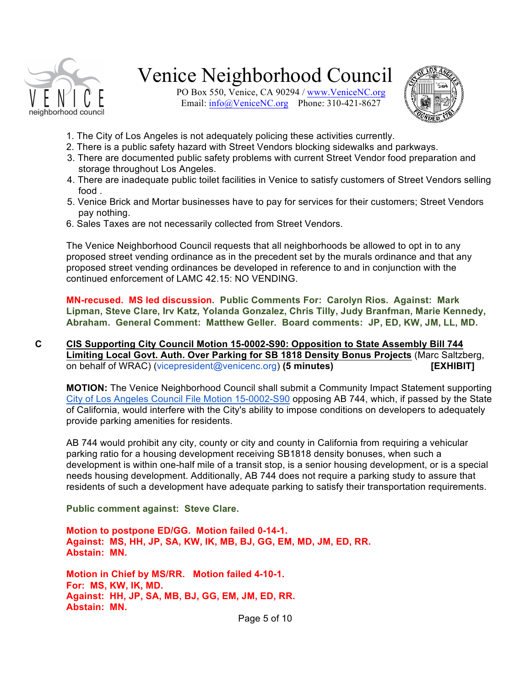

PO Box 550, Venice, CA 90294 / www.VeniceNC.org Email:  $\frac{info(@)$ VeniceNC.org Phone: 310-421-8627



- 1. The City of Los Angeles is not adequately policing these activities currently.
- 2. There is a public safety hazard with Street Vendors blocking sidewalks and parkways.
- 3. There are documented public safety problems with current Street Vendor food preparation and storage throughout Los Angeles.
- 4. There are inadequate public toilet facilities in Venice to satisfy customers of Street Vendors selling food .
- 5. Venice Brick and Mortar businesses have to pay for services for their customers; Street Vendors pay nothing.
- 6. Sales Taxes are not necessarily collected from Street Vendors.

The Venice Neighborhood Council requests that all neighborhoods be allowed to opt in to any proposed street vending ordinance as in the precedent set by the murals ordinance and that any proposed street vending ordinances be developed in reference to and in conjunction with the continued enforcement of LAMC 42.15: NO VENDING.

**MN-recused. MS led discussion. Public Comments For: Carolyn Rios. Against: Mark Lipman, Steve Clare, Irv Katz, Yolanda Gonzalez, Chris Tilly, Judy Branfman, Marie Kennedy, Abraham. General Comment: Matthew Geller. Board comments: JP, ED, KW, JM, LL, MD.** 

**C CIS Supporting City Council Motion 15-0002-S90: Opposition to State Assembly Bill 744 Limiting Local Govt. Auth. Over Parking for SB 1818 Density Bonus Projects** (Marc Saltzberg, on behalf of WRAC) (vicepresident@venicenc.org) **(5 minutes) [EXHIBIT]**

**MOTION:** The Venice Neighborhood Council shall submit a Community Impact Statement supporting City of Los Angeles Council File Motion 15-0002-S90 opposing AB 744, which, if passed by the State of California, would interfere with the City's ability to impose conditions on developers to adequately provide parking amenities for residents.

AB 744 would prohibit any city, county or city and county in California from requiring a vehicular parking ratio for a housing development receiving SB1818 density bonuses, when such a development is within one-half mile of a transit stop, is a senior housing development, or is a special needs housing development. Additionally, AB 744 does not require a parking study to assure that residents of such a development have adequate parking to satisfy their transportation requirements.

**Public comment against: Steve Clare.** 

**Motion to postpone ED/GG. Motion failed 0-14-1. Against: MS, HH, JP, SA, KW, IK, MB, BJ, GG, EM, MD, JM, ED, RR. Abstain: MN.**

**Motion in Chief by MS/RR. Motion failed 4-10-1. For: MS, KW, IK, MD. Against: HH, JP, SA, MB, BJ, GG, EM, JM, ED, RR. Abstain: MN.** 

Page 5 of 10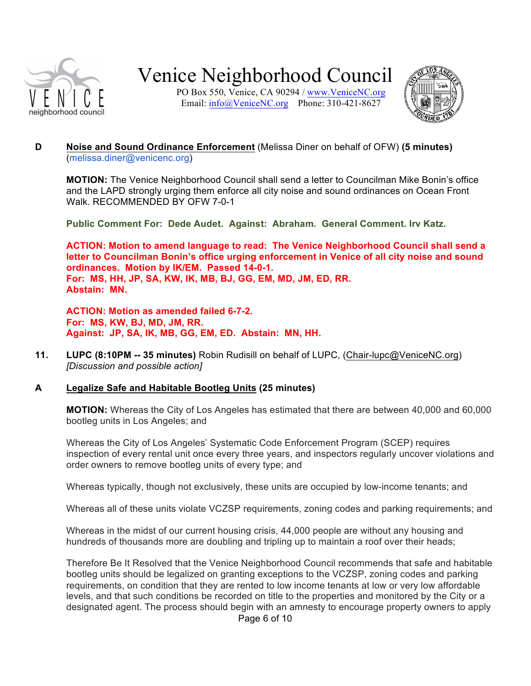

PO Box 550, Venice, CA 90294 / www.VeniceNC.org Email: info@VeniceNC.org Phone: 310-421-8627



#### **D Noise and Sound Ordinance Enforcement** (Melissa Diner on behalf of OFW) **(5 minutes)** (melissa.diner@venicenc.org)

**MOTION:** The Venice Neighborhood Council shall send a letter to Councilman Mike Bonin's office and the LAPD strongly urging them enforce all city noise and sound ordinances on Ocean Front Walk. RECOMMENDED BY OFW 7-0-1

**Public Comment For: Dede Audet. Against: Abraham. General Comment. Irv Katz.** 

**ACTION: Motion to amend language to read: The Venice Neighborhood Council shall send a letter to Councilman Bonin's office urging enforcement in Venice of all city noise and sound ordinances. Motion by IK/EM. Passed 14-0-1. For: MS, HH, JP, SA, KW, IK, MB, BJ, GG, EM, MD, JM, ED, RR. Abstain: MN.** 

**ACTION: Motion as amended failed 6-7-2. For: MS, KW, BJ, MD, JM, RR. Against: JP, SA, IK, MB, GG, EM, ED. Abstain: MN, HH.** 

**11. LUPC (8:10PM -- 35 minutes)** Robin Rudisill on behalf of LUPC, (Chair-lupc@VeniceNC.org) *[Discussion and possible action]*

#### **A Legalize Safe and Habitable Bootleg Units (25 minutes)**

**MOTION:** Whereas the City of Los Angeles has estimated that there are between 40,000 and 60,000 bootleg units in Los Angeles; and

Whereas the City of Los Angeles' Systematic Code Enforcement Program (SCEP) requires inspection of every rental unit once every three years, and inspectors regularly uncover violations and order owners to remove bootleg units of every type; and

Whereas typically, though not exclusively, these units are occupied by low-income tenants; and

Whereas all of these units violate VCZSP requirements, zoning codes and parking requirements; and

Whereas in the midst of our current housing crisis, 44,000 people are without any housing and hundreds of thousands more are doubling and tripling up to maintain a roof over their heads;

Page 6 of 10 Therefore Be It Resolved that the Venice Neighborhood Council recommends that safe and habitable bootleg units should be legalized on granting exceptions to the VCZSP, zoning codes and parking requirements, on condition that they are rented to low income tenants at low or very low affordable levels, and that such conditions be recorded on title to the properties and monitored by the City or a designated agent. The process should begin with an amnesty to encourage property owners to apply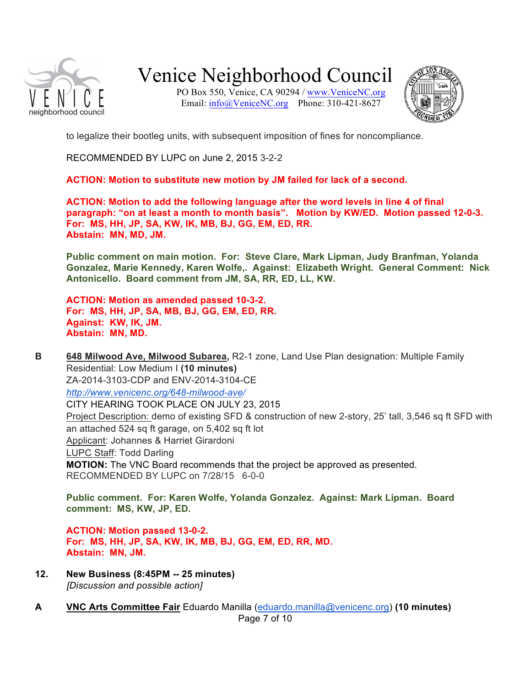

PO Box 550, Venice, CA 90294 / www.VeniceNC.org Email: info@VeniceNC.org Phone: 310-421-8627



to legalize their bootleg units, with subsequent imposition of fines for noncompliance.

RECOMMENDED BY LUPC on June 2, 2015 3-2-2

**ACTION: Motion to substitute new motion by JM failed for lack of a second.** 

**ACTION: Motion to add the following language after the word levels in line 4 of final paragraph: "on at least a month to month basis". Motion by KW/ED. Motion passed 12-0-3. For: MS, HH, JP, SA, KW, IK, MB, BJ, GG, EM, ED, RR. Abstain: MN, MD, JM.** 

**Public comment on main motion. For: Steve Clare, Mark Lipman, Judy Branfman, Yolanda Gonzalez, Marie Kennedy, Karen Wolfe,. Against: Elizabeth Wright. General Comment: Nick Antonicello. Board comment from JM, SA, RR, ED, LL, KW.** 

**ACTION: Motion as amended passed 10-3-2. For: MS, HH, JP, SA, MB, BJ, GG, EM, ED, RR. Against: KW, IK, JM. Abstain: MN, MD.**

**B 648 Milwood Ave, Milwood Subarea,** R2-1 zone, Land Use Plan designation: Multiple Family Residential: Low Medium I **(10 minutes)** ZA-2014-3103-CDP and ENV-2014-3104-CE *http://www.venicenc.org/648-milwood-ave/* CITY HEARING TOOK PLACE ON JULY 23, 2015 Project Description: demo of existing SFD & construction of new 2-story, 25' tall, 3,546 sq ft SFD with an attached 524 sq ft garage, on 5,402 sq ft lot Applicant: Johannes & Harriet Girardoni LUPC Staff: Todd Darling **MOTION:** The VNC Board recommends that the project be approved as presented. RECOMMENDED BY LUPC on 7/28/15 6-0-0

**Public comment. For: Karen Wolfe, Yolanda Gonzalez. Against: Mark Lipman. Board comment: MS, KW, JP, ED.** 

**ACTION: Motion passed 13-0-2. For: MS, HH, JP, SA, KW, IK, MB, BJ, GG, EM, ED, RR, MD. Abstain: MN, JM.** 

- **12. New Business (8:45PM -- 25 minutes)** *[Discussion and possible action]*
- **A VNC Arts Committee Fair** Eduardo Manilla (eduardo.manilla@venicenc.org) **(10 minutes)**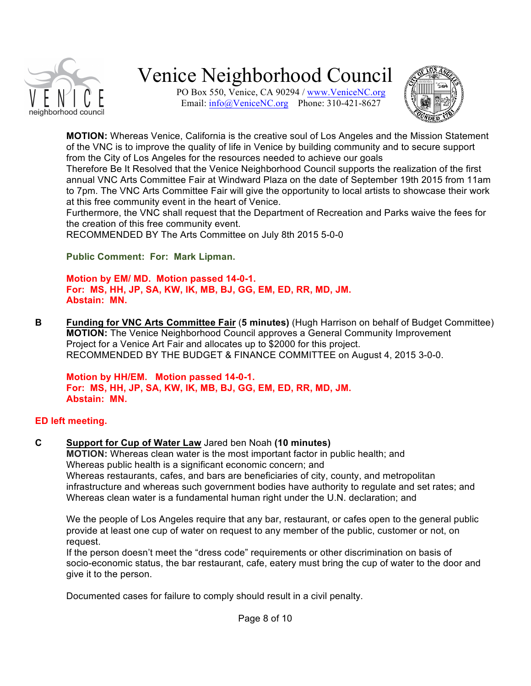

PO Box 550, Venice, CA 90294 / www.VeniceNC.org Email:  $\frac{info(@)$ VeniceNC.org Phone: 310-421-8627



**MOTION:** Whereas Venice, California is the creative soul of Los Angeles and the Mission Statement of the VNC is to improve the quality of life in Venice by building community and to secure support from the City of Los Angeles for the resources needed to achieve our goals

Therefore Be It Resolved that the Venice Neighborhood Council supports the realization of the first annual VNC Arts Committee Fair at Windward Plaza on the date of September 19th 2015 from 11am to 7pm. The VNC Arts Committee Fair will give the opportunity to local artists to showcase their work at this free community event in the heart of Venice.

Furthermore, the VNC shall request that the Department of Recreation and Parks waive the fees for the creation of this free community event.

RECOMMENDED BY The Arts Committee on July 8th 2015 5-0-0

**Public Comment: For: Mark Lipman.** 

**Motion by EM/ MD. Motion passed 14-0-1. For: MS, HH, JP, SA, KW, IK, MB, BJ, GG, EM, ED, RR, MD, JM. Abstain: MN.** 

**B Funding for VNC Arts Committee Fair** (**5 minutes)** (Hugh Harrison on behalf of Budget Committee) **MOTION:** The Venice Neighborhood Council approves a General Community Improvement Project for a Venice Art Fair and allocates up to \$2000 for this project. RECOMMENDED BY THE BUDGET & FINANCE COMMITTEE on August 4, 2015 3-0-0.

**Motion by HH/EM. Motion passed 14-0-1. For: MS, HH, JP, SA, KW, IK, MB, BJ, GG, EM, ED, RR, MD, JM. Abstain: MN.** 

#### **ED left meeting.**

**C Support for Cup of Water Law** Jared ben Noah **(10 minutes)**

**MOTION:** Whereas clean water is the most important factor in public health; and Whereas public health is a significant economic concern; and Whereas restaurants, cafes, and bars are beneficiaries of city, county, and metropolitan infrastructure and whereas such government bodies have authority to regulate and set rates; and Whereas clean water is a fundamental human right under the U.N. declaration; and

We the people of Los Angeles require that any bar, restaurant, or cafes open to the general public provide at least one cup of water on request to any member of the public, customer or not, on request.

If the person doesn't meet the "dress code" requirements or other discrimination on basis of socio-economic status, the bar restaurant, cafe, eatery must bring the cup of water to the door and give it to the person.

Documented cases for failure to comply should result in a civil penalty.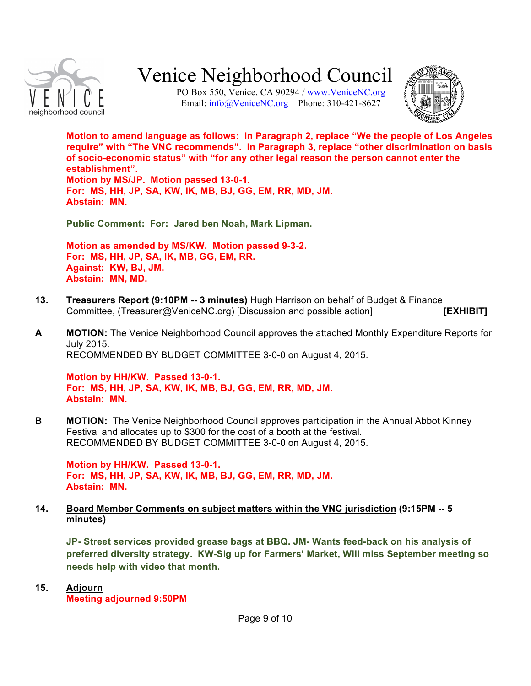

PO Box 550, Venice, CA 90294 / www.VeniceNC.org Email:  $info@$ VeniceNC.org Phone: 310-421-8627



**Motion to amend language as follows: In Paragraph 2, replace "We the people of Los Angeles require" with "The VNC recommends". In Paragraph 3, replace "other discrimination on basis of socio-economic status" with "for any other legal reason the person cannot enter the establishment". Motion by MS/JP. Motion passed 13-0-1. For: MS, HH, JP, SA, KW, IK, MB, BJ, GG, EM, RR, MD, JM. Abstain: MN.** 

**Public Comment: For: Jared ben Noah, Mark Lipman.** 

**Motion as amended by MS/KW. Motion passed 9-3-2. For: MS, HH, JP, SA, IK, MB, GG, EM, RR. Against: KW, BJ, JM. Abstain: MN, MD.** 

- **13. Treasurers Report (9:10PM -- 3 minutes)** Hugh Harrison on behalf of Budget & Finance Committee, (Treasurer@VeniceNC.org) [Discussion and possible action] **[EXHIBIT]**
- **A MOTION:** The Venice Neighborhood Council approves the attached Monthly Expenditure Reports for July 2015. RECOMMENDED BY BUDGET COMMITTEE 3-0-0 on August 4, 2015.

**Motion by HH/KW. Passed 13-0-1. For: MS, HH, JP, SA, KW, IK, MB, BJ, GG, EM, RR, MD, JM. Abstain: MN.** 

**B MOTION:** The Venice Neighborhood Council approves participation in the Annual Abbot Kinney Festival and allocates up to \$300 for the cost of a booth at the festival. RECOMMENDED BY BUDGET COMMITTEE 3-0-0 on August 4, 2015.

**Motion by HH/KW. Passed 13-0-1. For: MS, HH, JP, SA, KW, IK, MB, BJ, GG, EM, RR, MD, JM. Abstain: MN.** 

#### **14. Board Member Comments on subject matters within the VNC jurisdiction (9:15PM -- 5 minutes)**

**JP- Street services provided grease bags at BBQ. JM- Wants feed-back on his analysis of preferred diversity strategy. KW-Sig up for Farmers' Market, Will miss September meeting so needs help with video that month.**

**15. Adjourn Meeting adjourned 9:50PM**